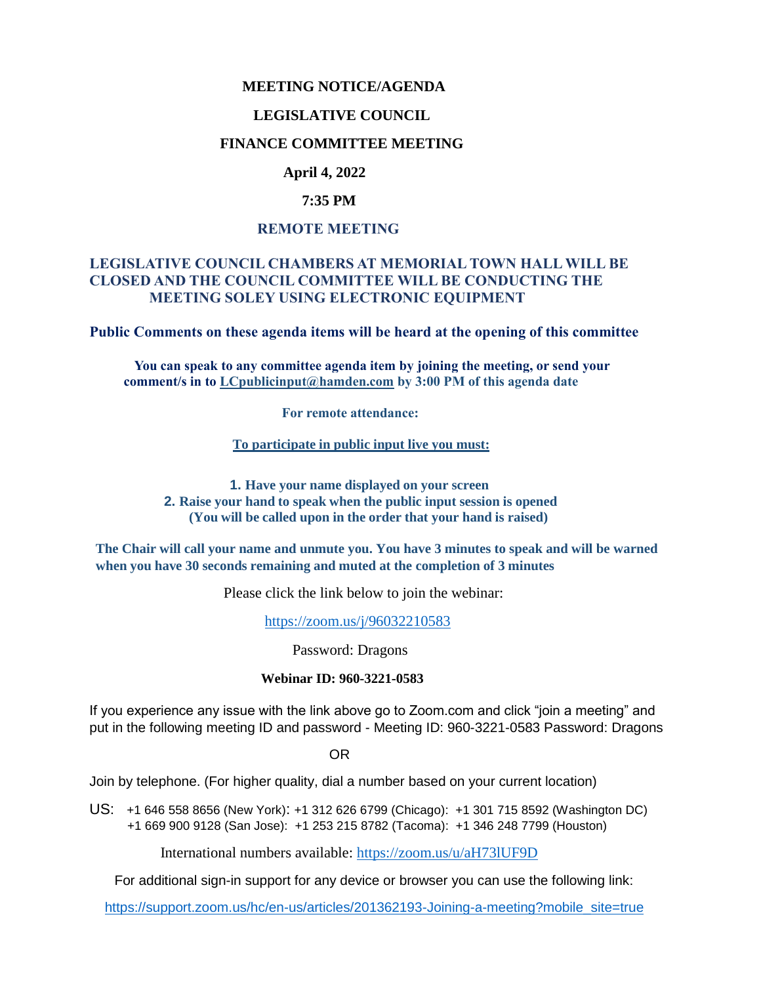### **MEETING NOTICE/AGENDA**

#### **LEGISLATIVE COUNCIL**

### **FINANCE COMMITTEE MEETING**

# **April 4, 2022**

### **7:35 PM**

### **REMOTE MEETING**

## **LEGISLATIVE COUNCIL CHAMBERS AT MEMORIAL TOWN HALL WILL BE CLOSED AND THE COUNCIL COMMITTEE WILL BE CONDUCTING THE MEETING SOLEY USING ELECTRONIC EQUIPMENT**

**Public Comments on these agenda items will be heard at the opening of this committee** 

 **You can speak to any committee agenda item by joining the meeting, or send your comment/s in to [LCpublicinput@hamden.com](mailto:LCpublicinput@hamden.com) by 3:00 PM of this agenda date**

 **For remote attendance:**

**To participate in public input live you must:**

**1. Have your name displayed on your screen 2. Raise your hand to speak when the public input session is opened (You will be called upon in the order that your hand is raised)**

**The Chair will call your name and unmute you. You have 3 minutes to speak and will be warned when you have 30 seconds remaining and muted at the completion of 3 minutes**

Please click the link below to join the webinar:

<https://zoom.us/j/96032210583>

Password: Dragons

#### **Webinar ID: 960-3221-0583**

If you experience any issue with the link above go to Zoom.com and click "join a meeting" and put in the following meeting ID and password - Meeting ID: 960-3221-0583 Password: Dragons

OR

Join by telephone. (For higher quality, dial a number based on your current location)

US: [+1 646 558 8656 \(New York\)](tel:+16465588656): [+1 312 626 6799 \(Chicago\):](tel:+13126266799) [+1 301 715 8592 \(Washington DC\)](tel:+13017158592) +1 669 900 9128 (San Jose): [+1 253 215 8782 \(Tacoma\):](tel:+12532158782) [+1 346 248 7799 \(Houston\)](tel:+13462487799)

International numbers available:<https://zoom.us/u/aH73lUF9D>

For additional sign-in support for any device or browser you can use the following link:

[https://support.zoom.us/hc/en-us/articles/201362193-Joining-a-meeting?mobile\\_site=true](https://support.zoom.us/hc/en-us/articles/201362193-Joining-a-meeting?mobile_site=true)